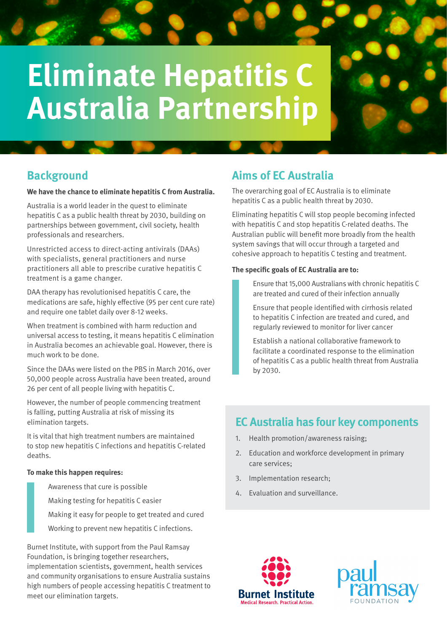# **Eliminate Hepatitis C Australia Partnership**

## **Background**

#### **We have the chance to eliminate hepatitis C from Australia.**

Australia is a world leader in the quest to eliminate hepatitis C as a public health threat by 2030, building on partnerships between government, civil society, health professionals and researchers.

Unrestricted access to direct-acting antivirals (DAAs) with specialists, general practitioners and nurse practitioners all able to prescribe curative hepatitis C treatment is a game changer.

DAA therapy has revolutionised hepatitis C care, the medications are safe, highly effective (95 per cent cure rate) and require one tablet daily over 8-12 weeks.

When treatment is combined with harm reduction and universal access to testing, it means hepatitis C elimination in Australia becomes an achievable goal. However, there is much work to be done.

Since the DAAs were listed on the PBS in March 2016, over 50,000 people across Australia have been treated, around 26 per cent of all people living with hepatitis C.

However, the number of people commencing treatment is falling, putting Australia at risk of missing its elimination targets.

It is vital that high treatment numbers are maintained to stop new hepatitis C infections and hepatitis C-related deaths.

#### **To make this happen requires:**

- Awareness that cure is possible
- Making testing for hepatitis C easier
- Making it easy for people to get treated and cured
- Working to prevent new hepatitis C infections.

Burnet Institute, with support from the Paul Ramsay Foundation, is bringing together researchers,

implementation scientists, government, health services and community organisations to ensure Australia sustains high numbers of people accessing hepatitis C treatment to meet our elimination targets.

# **Aims of EC Australia**

The overarching goal of EC Australia is to eliminate hepatitis C as a public health threat by 2030.

Eliminating hepatitis C will stop people becoming infected with hepatitis C and stop hepatitis C-related deaths. The Australian public will benefit more broadly from the health system savings that will occur through a targeted and cohesive approach to hepatitis C testing and treatment.

#### **The specific goals of EC Australia are to:**

Ensure that 15,000 Australians with chronic hepatitis C are treated and cured of their infection annually

Ensure that people identified with cirrhosis related to hepatitis C infection are treated and cured, and regularly reviewed to monitor for liver cancer

Establish a national collaborative framework to facilitate a coordinated response to the elimination of hepatitis C as a public health threat from Australia by 2030.

## **EC Australia has four key components**

- 1. Health promotion/awareness raising;
- 2. Education and workforce development in primary care services;
- 3. Implementation research;
- 4. Evaluation and surveillance.